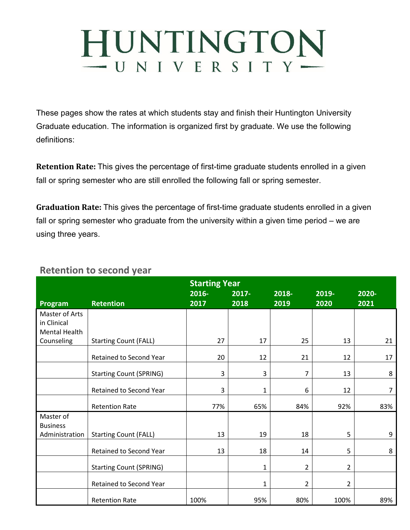## HUNTINGTON  $-$  UNIVERSITY $-$

These pages show the rates at which students stay and finish their Huntington University Graduate education. The information is organized first by graduate. We use the following definitions:

**Retention Rate:** This gives the percentage of first-time graduate students enrolled in a given fall or spring semester who are still enrolled the following fall or spring semester.

**Graduation Rate:** This gives the percentage of first-time graduate students enrolled in a given fall or spring semester who graduate from the university within a given time period – we are using three years.

|                                   |                                | <b>Starting Year</b> |                  |               |                |               |  |
|-----------------------------------|--------------------------------|----------------------|------------------|---------------|----------------|---------------|--|
| Program                           | <b>Retention</b>               | 2016-<br>2017        | $2017 -$<br>2018 | 2018-<br>2019 | 2019-<br>2020  | 2020-<br>2021 |  |
| Master of Arts                    |                                |                      |                  |               |                |               |  |
| in Clinical<br>Mental Health      |                                |                      |                  |               |                |               |  |
| Counseling                        | <b>Starting Count (FALL)</b>   | 27                   | 17               | 25            | 13             | 21            |  |
|                                   | Retained to Second Year        | 20                   | 12               | 21            | 12             | 17            |  |
|                                   | <b>Starting Count (SPRING)</b> | 3                    | 3                | 7             | 13             | 8             |  |
|                                   | Retained to Second Year        | 3                    | 1                | 6             | 12             | 7             |  |
|                                   | <b>Retention Rate</b>          | 77%                  | 65%              | 84%           | 92%            | 83%           |  |
| Master of                         |                                |                      |                  |               |                |               |  |
| <b>Business</b><br>Administration | <b>Starting Count (FALL)</b>   | 13                   | 19               | 18            | 5              | 9             |  |
|                                   | Retained to Second Year        | 13                   | 18               | 14            | 5              | 8             |  |
|                                   | <b>Starting Count (SPRING)</b> |                      | 1                | 2             | $\overline{2}$ |               |  |
|                                   | Retained to Second Year        |                      | 1                | 2             | 2              |               |  |
|                                   | <b>Retention Rate</b>          | 100%                 | 95%              | 80%           | 100%           | 89%           |  |

## **Retention to second year**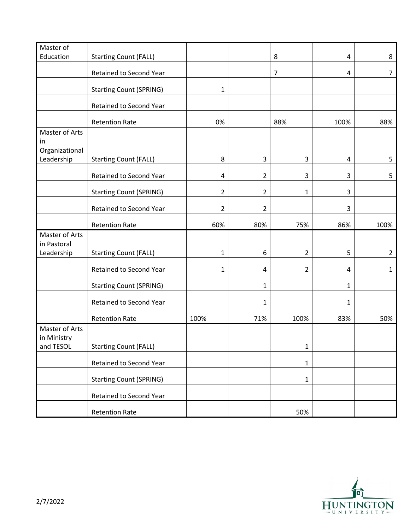| Master of      |                                |                |                |                |      |                |
|----------------|--------------------------------|----------------|----------------|----------------|------|----------------|
| Education      | <b>Starting Count (FALL)</b>   |                |                | 8              | 4    | 8              |
|                |                                |                |                |                |      |                |
|                | Retained to Second Year        |                |                | $\overline{7}$ | 4    | $\overline{7}$ |
|                | <b>Starting Count (SPRING)</b> | $\mathbf 1$    |                |                |      |                |
|                | Retained to Second Year        |                |                |                |      |                |
|                | <b>Retention Rate</b>          | 0%             |                | 88%            | 100% | 88%            |
| Master of Arts |                                |                |                |                |      |                |
| in             |                                |                |                |                |      |                |
| Organizational |                                |                |                |                |      |                |
| Leadership     | <b>Starting Count (FALL)</b>   | 8              | 3              | 3              | 4    | 5              |
|                | Retained to Second Year        | 4              | $\overline{2}$ | 3              | 3    | 5              |
|                | <b>Starting Count (SPRING)</b> | $\overline{2}$ | $\overline{2}$ | $\mathbf{1}$   | 3    |                |
|                |                                |                |                |                |      |                |
|                | Retained to Second Year        | $\overline{2}$ | $\overline{2}$ |                | 3    |                |
|                | <b>Retention Rate</b>          | 60%            | 80%            | 75%            | 86%  | 100%           |
| Master of Arts |                                |                |                |                |      |                |
| in Pastoral    |                                |                |                |                |      |                |
| Leadership     | <b>Starting Count (FALL)</b>   | $\mathbf{1}$   | 6              | $\overline{2}$ | 5    | $\overline{2}$ |
|                | Retained to Second Year        | $\mathbf{1}$   | 4              | $\overline{2}$ | 4    | 1              |
|                | <b>Starting Count (SPRING)</b> |                | $\mathbf{1}$   |                | 1    |                |
|                | Retained to Second Year        |                | 1              |                | 1    |                |
|                | <b>Retention Rate</b>          | 100%           | 71%            | 100%           | 83%  | 50%            |
| Master of Arts |                                |                |                |                |      |                |
| in Ministry    |                                |                |                |                |      |                |
| and TESOL      | <b>Starting Count (FALL)</b>   |                |                | $\mathbf{1}$   |      |                |
|                | Retained to Second Year        |                |                | $\mathbf{1}$   |      |                |
|                | <b>Starting Count (SPRING)</b> |                |                | 1              |      |                |
|                | Retained to Second Year        |                |                |                |      |                |
|                |                                |                |                |                |      |                |
|                | <b>Retention Rate</b>          |                |                | 50%            |      |                |

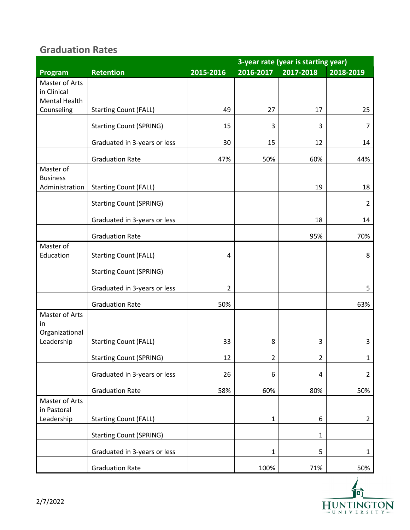## **Graduation Rates**

|                                                       |                                |           | 3-year rate (year is starting year) |              |                |  |  |
|-------------------------------------------------------|--------------------------------|-----------|-------------------------------------|--------------|----------------|--|--|
| Program                                               | <b>Retention</b>               | 2015-2016 | 2016-2017                           | 2017-2018    | 2018-2019      |  |  |
| Master of Arts<br>in Clinical<br><b>Mental Health</b> |                                |           |                                     |              |                |  |  |
| Counseling                                            | <b>Starting Count (FALL)</b>   | 49        | 27                                  | 17           | 25             |  |  |
|                                                       | <b>Starting Count (SPRING)</b> | 15        | 3                                   | 3            | $\overline{7}$ |  |  |
|                                                       | Graduated in 3-years or less   | 30        | 15                                  | 12           | 14             |  |  |
|                                                       | <b>Graduation Rate</b>         | 47%       | 50%                                 | 60%          | 44%            |  |  |
| Master of<br><b>Business</b><br>Administration        | <b>Starting Count (FALL)</b>   |           |                                     | 19           | 18             |  |  |
|                                                       | <b>Starting Count (SPRING)</b> |           |                                     |              | $\overline{2}$ |  |  |
|                                                       | Graduated in 3-years or less   |           |                                     | 18           | 14             |  |  |
|                                                       | <b>Graduation Rate</b>         |           |                                     | 95%          | 70%            |  |  |
| Master of<br>Education                                | <b>Starting Count (FALL)</b>   | 4         |                                     |              | 8              |  |  |
|                                                       | <b>Starting Count (SPRING)</b> |           |                                     |              |                |  |  |
|                                                       | Graduated in 3-years or less   | 2         |                                     |              | 5              |  |  |
|                                                       | <b>Graduation Rate</b>         | 50%       |                                     |              | 63%            |  |  |
| Master of Arts<br>in<br>Organizational<br>Leadership  | <b>Starting Count (FALL)</b>   | 33        | 8                                   | 3            | 3              |  |  |
|                                                       | <b>Starting Count (SPRING)</b> | 12        | $\overline{\mathbf{c}}$             | 2            | $\mathbf 1$    |  |  |
|                                                       | Graduated in 3-years or less   | 26        | 6                                   | 4            | $\overline{2}$ |  |  |
|                                                       | <b>Graduation Rate</b>         | 58%       | 60%                                 | 80%          | 50%            |  |  |
| Master of Arts<br>in Pastoral<br>Leadership           | <b>Starting Count (FALL)</b>   |           | $\mathbf{1}$                        | 6            | $\overline{2}$ |  |  |
|                                                       | <b>Starting Count (SPRING)</b> |           |                                     | $\mathbf{1}$ |                |  |  |
|                                                       | Graduated in 3-years or less   |           | $\mathbf{1}$                        | 5            | $\mathbf{1}$   |  |  |
|                                                       | <b>Graduation Rate</b>         |           | 100%                                | 71%          | 50%            |  |  |